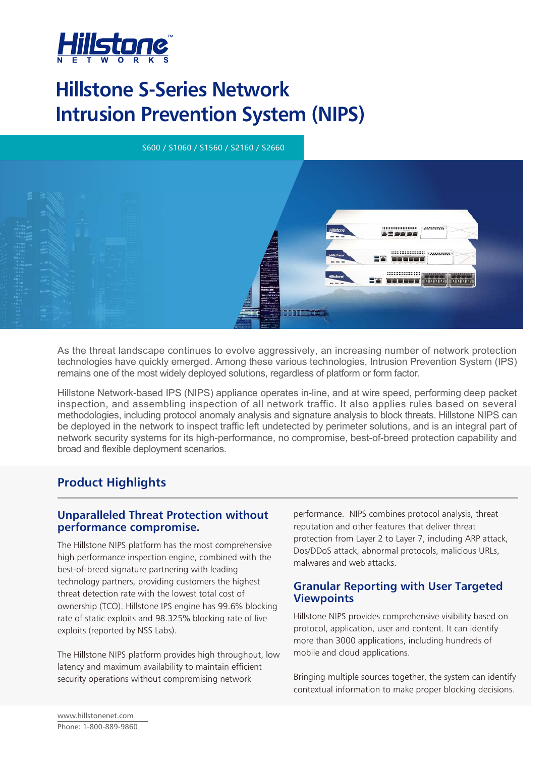

# **Hillstone S-Series Network Intrusion Prevention System (NIPS)**



As the threat landscape continues to evolve aggressively, an increasing number of network protection technologies have quickly emerged. Among these various technologies, Intrusion Prevention System (IPS) remains one of the most widely deployed solutions, regardless of platform or form factor.

Hillstone Network-based IPS (NIPS) appliance operates in-line, and at wire speed, performing deep packet inspection, and assembling inspection of all network traffic. It also applies rules based on several methodologies, including protocol anomaly analysis and signature analysis to block threats. Hillstone NIPS can be deployed in the network to inspect traffic left undetected by perimeter solutions, and is an integral part of network security systems for its high-performance, no compromise, best-of-breed protection capability and broad and flexible deployment scenarios.

# **Product Highlights**

### **Unparalleled Threat Protection without performance compromise.**

The Hillstone NIPS platform has the most comprehensive high performance inspection engine, combined with the best-of-breed signature partnering with leading technology partners, providing customers the highest threat detection rate with the lowest total cost of ownership (TCO). Hillstone IPS engine has 99.6% blocking rate of static exploits and 98.325% blocking rate of live exploits (reported by NSS Labs).

The Hillstone NIPS platform provides high throughput, low latency and maximum availability to maintain efficient security operations without compromising network

performance. NIPS combines protocol analysis, threat reputation and other features that deliver threat protection from Layer 2 to Layer 7, including ARP attack, Dos/DDoS attack, abnormal protocols, malicious URLs, malwares and web attacks.

### **Granular Reporting with User Targeted Viewpoints**

Hillstone NIPS provides comprehensive visibility based on protocol, application, user and content. It can identify more than 3000 applications, including hundreds of mobile and cloud applications.

Bringing multiple sources together, the system can identify contextual information to make proper blocking decisions.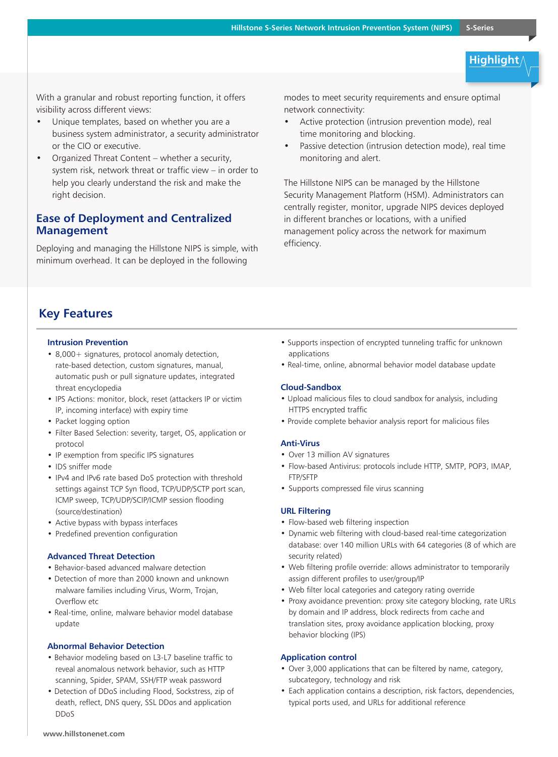# **Highlight**

With a granular and robust reporting function, it offers visibility across different views:

- Unique templates, based on whether you are a business system administrator, a security administrator or the CIO or executive.
- Organized Threat Content whether a security, system risk, network threat or traffic view – in order to help you clearly understand the risk and make the right decision.

### **Ease of Deployment and Centralized Management**

Deploying and managing the Hillstone NIPS is simple, with minimum overhead. It can be deployed in the following

modes to meet security requirements and ensure optimal network connectivity:

- Active protection (intrusion prevention mode), real time monitoring and blocking.
- Passive detection (intrusion detection mode), real time monitoring and alert.

The Hillstone NIPS can be managed by the Hillstone Security Management Platform (HSM). Administrators can centrally register, monitor, upgrade NIPS devices deployed in different branches or locations, with a unified management policy across the network for maximum efficiency.

## **Key Features**

#### **Intrusion Prevention**

- 8,000+ signatures, protocol anomaly detection, rate-based detection, custom signatures, manual, automatic push or pull signature updates, integrated threat encyclopedia
- IPS Actions: monitor, block, reset (attackers IP or victim IP, incoming interface) with expiry time
- Packet logging option
- Filter Based Selection: severity, target, OS, application or protocol
- IP exemption from specific IPS signatures
- IDS sniffer mode
- IPv4 and IPv6 rate based DoS protection with threshold settings against TCP Syn flood, TCP/UDP/SCTP port scan, ICMP sweep, TCP/UDP/SCIP/ICMP session flooding (source/destination)
- Active bypass with bypass interfaces
- Predefined prevention configuration

#### **Advanced Threat Detection**

- Behavior-based advanced malware detection
- Detection of more than 2000 known and unknown malware families including Virus, Worm, Trojan, Overflow etc
- Real-time, online, malware behavior model database update

#### **Abnormal Behavior Detection**

- Behavior modeling based on L3-L7 baseline traffic to reveal anomalous network behavior, such as HTTP scanning, Spider, SPAM, SSH/FTP weak password
- Detection of DDoS including Flood, Sockstress, zip of death, reflect, DNS query, SSL DDos and application DDoS
- Supports inspection of encrypted tunneling traffic for unknown applications
- Real-time, online, abnormal behavior model database update

#### **Cloud-Sandbox**

- Upload malicious files to cloud sandbox for analysis, including HTTPS encrypted traffic
- Provide complete behavior analysis report for malicious files

#### **Anti-Virus**

- Over 13 million AV signatures
- Flow-based Antivirus: protocols include HTTP, SMTP, POP3, IMAP, FTP/SFTP
- Supports compressed file virus scanning

#### **URL Filtering**

- Flow-based web filtering inspection
- Dynamic web filtering with cloud-based real-time categorization database: over 140 million URLs with 64 categories (8 of which are security related)
- Web filtering profile override: allows administrator to temporarily assign different profiles to user/group/IP
- Web filter local categories and category rating override
- Proxy avoidance prevention: proxy site category blocking, rate URLs by domain and IP address, block redirects from cache and translation sites, proxy avoidance application blocking, proxy behavior blocking (IPS)

#### **Application control**

- Over 3,000 applications that can be filtered by name, category, subcategory, technology and risk
- Each application contains a description, risk factors, dependencies, typical ports used, and URLs for additional reference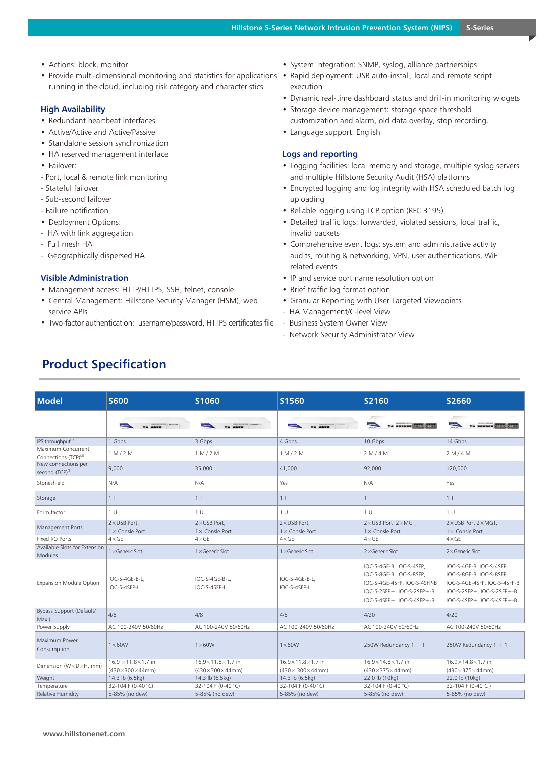- Actions: block, monitor
- Provide multi-dimensional monitoring and statistics for applications Rapid deployment: USB auto-install, local and remote script running in the cloud, including risk category and characteristics

#### **High Availability**

- Redundant heartbeat interfaces
- Active/Active and Active/Passive
- Standalone session synchronization
- HA reserved management interface
- Failover:
- Port, local & remote link monitoring
- Stateful failover
- Sub-second failover
- Failure notification
- Deployment Options:
- HA with link aggregation
- Full mesh HA
- Geographically dispersed HA

#### **Visible Administration**

- Management access: HTTP/HTTPS, SSH, telnet, console
- Central Management: Hillstone Security Manager (HSM), web service APIs
- Two-factor authentication: username/password, HTTPS certificates file
- System Integration: SNMP, syslog, alliance partnerships
- execution
- Dynamic real-time dashboard status and drill-in monitoring widgets
- Storage device management: storage space threshold customization and alarm, old data overlay, stop recording.
- Language support: English

#### **Logs and reporting**

- Logging facilities: local memory and storage, multiple syslog servers and multiple Hillstone Security Audit (HSA) platforms
- Encrypted logging and log integrity with HSA scheduled batch log uploading
- Reliable logging using TCP option (RFC 3195)
- Detailed traffic logs: forwarded, violated sessions, local traffic, invalid packets
- Comprehensive event logs: system and administrative activity audits, routing & networking, VPN, user authentications, WiFi related events
- IP and service port name resolution option
- Brief traffic log format option
- Granular Reporting with User Targeted Viewpoints
- HA Management/C-level View
- Business System Owner View
- Network Security Administrator View

| <b>Model</b>                                           | <b>S600</b>                                    | S1060                                 | S1560                                 | S2160                                                                                                                                            | S2660                                                                                                                                            |
|--------------------------------------------------------|------------------------------------------------|---------------------------------------|---------------------------------------|--------------------------------------------------------------------------------------------------------------------------------------------------|--------------------------------------------------------------------------------------------------------------------------------------------------|
|                                                        |                                                |                                       |                                       | wwwwww <b>infinites formed</b>                                                                                                                   | l<br>== weever within faith                                                                                                                      |
| IPS throughput <sup>(1)</sup>                          | 1 Gbps                                         | 3 Gbps                                | 4 Gbps                                | 10 Gbps                                                                                                                                          | 14 Gbps                                                                                                                                          |
| Maximum Concurrent<br>Connections (TCP) <sup>(2)</sup> | 1 M/2 M                                        | 1 M/2 M                               | 1 M/2 M                               | 2 M/4 M                                                                                                                                          | 2 M/4 M                                                                                                                                          |
| New connections per<br>second (TCP)(3)                 | 9.000                                          | 35,000                                | 41,000                                | 92,000                                                                                                                                           | 120,000                                                                                                                                          |
| Stoneshield                                            | N/A                                            | N/A                                   | Yes                                   | N/A                                                                                                                                              | Yes                                                                                                                                              |
| Storage                                                | 1T                                             | 1T                                    | 1T                                    | 1 <sub>T</sub>                                                                                                                                   | 1T                                                                                                                                               |
| Form factor                                            | 1 <sub>U</sub>                                 | 1 <sup>U</sup>                        | 1 <sup>U</sup>                        | 1 <sup>U</sup>                                                                                                                                   | 1 <sup>U</sup>                                                                                                                                   |
| Management Ports                                       | $2 \times$ USB Port,<br>$1 \times$ Consle Port | 2×USB Port.<br>$1 \times$ Consle Port | 2×USB Port.<br>$1 \times$ Consle Port | 2×USB Port 2×MGT,<br>$1 \times$ Consle Port                                                                                                      | 2×USB Port 2×MGT.<br>$1 \times$ Consle Port                                                                                                      |
| Fixed I/O Ports                                        | $4\times$ GE                                   | $4 \times$ GE                         | $4 \times$ GE                         | $4\times$ GE                                                                                                                                     | $4\times$ GE                                                                                                                                     |
| Available Slots for Extension<br><b>Modules</b>        | $1 \times$ Generic Slot                        | $1 \times$ Generic Slot               | $1 \times$ Generic Slot               | $2\times$ Generic Slot                                                                                                                           | 2×Generic Slot                                                                                                                                   |
| <b>Expansion Module Option</b>                         | IOC-S-4GE-B-L.<br>IOC-S-4SFP-L                 | IOC-S-4GE-B-L.<br>IOC-S-4SFP-L        | IOC-S-4GE-B-L.<br>IOC-S-4SFP-L        | IOC-S-4GE-B, IOC-S-4SFP,<br>IOC-S-8GE-B, IOC-S-8SFP,<br>IOC-S-4GE-4SFP, IOC-S-4SFP-B<br>IOC-S-2SFP+, IOC-S-2SFP+-B<br>IOC-S-4SFP+, IOC-S-4SFP+-B | IOC-S-4GE-B, IOC-S-4SFP,<br>IOC-S-8GE-B, IOC-S-8SFP,<br>IOC-S-4GE-4SFP, IOC-S-4SFP-B<br>IOC-S-2SFP+, IOC-S-2SFP+-B<br>IOC-S-4SFP+, IOC-S-4SFP+-B |
| Bypass Support (Default/<br>Max.)                      | 4/8                                            | 4/8                                   | 4/8                                   | 4/20                                                                                                                                             | 4/20                                                                                                                                             |
| Power Supply                                           | AC 100-240V 50/60Hz                            | AC 100-240V 50/60Hz                   | AC 100-240V 50/60Hz                   | AC 100-240V 50/60Hz                                                                                                                              | AC 100-240V 50/60Hz                                                                                                                              |
| Maximum Power<br>Consumption                           | $1\times 60W$                                  | $1\times 60W$                         | $1\times 60W$                         | 250W Redundancy $1 + 1$                                                                                                                          | 250W Redundancy $1 + 1$                                                                                                                          |
| Dimension (W×D×H, mm)                                  | $16.9 \times 11.8 \times 1.7$ in               | 16.9×11.8×1.7 in                      | 16.9×11.8×1.7 in                      | 16.9×14.8×1.7 in                                                                                                                                 | 16.9×14.8×1.7 in                                                                                                                                 |
|                                                        | $(430\times300\times44$ mm)                    | $(430\times300\times44$ mm)           | (430×300×44mm)                        | $(430\times375\times44$ mm)                                                                                                                      | $(430\times375\times44$ mm)                                                                                                                      |
| Weight                                                 | 14.3 lb (6.5kg)                                | 14.3 lb (6.5kg)                       | 14.3 lb (6.5kg)                       | 22.0 lb (10kg)                                                                                                                                   | 22.0 lb (10kg)                                                                                                                                   |
| Temperature                                            | 32-104 F (0-40 °C)                             | 32-104 F (0-40 °C)                    | 32-104 F (0-40 °C)                    | 32-104 F (0-40 °C)                                                                                                                               | 32-104 F (0-40°C)                                                                                                                                |
| Relative Humidity                                      | 5-85% (no dew)                                 | 5-85% (no dew)                        | 5-85% (no dew)                        | 5-85% (no dew)                                                                                                                                   | 5-85% (no dew)                                                                                                                                   |

# **Product Specification**